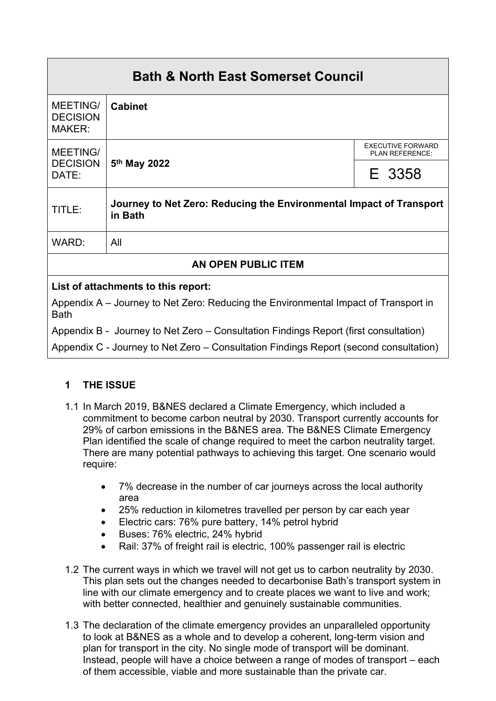| <b>Bath &amp; North East Somerset Council</b>                                              |                                                                                |                                                    |  |  |
|--------------------------------------------------------------------------------------------|--------------------------------------------------------------------------------|----------------------------------------------------|--|--|
| <b>MEETING/</b><br><b>DECISION</b><br><b>MAKER:</b>                                        | <b>Cabinet</b>                                                                 |                                                    |  |  |
| <b>MEETING/</b><br><b>DECISION</b><br>DATE:                                                | 5 <sup>th</sup> May 2022                                                       | <b>EXECUTIVE FORWARD</b><br><b>PLAN REFERENCE:</b> |  |  |
|                                                                                            |                                                                                | E 3358                                             |  |  |
| TITLE:                                                                                     | Journey to Net Zero: Reducing the Environmental Impact of Transport<br>in Bath |                                                    |  |  |
| WARD:                                                                                      | All                                                                            |                                                    |  |  |
| AN OPEN PUBLIC ITEM                                                                        |                                                                                |                                                    |  |  |
| List of attachments to this report:                                                        |                                                                                |                                                    |  |  |
| Appendix $\Delta =$ Journey to Net Zero: Reducing the Environmental Impact of Transport in |                                                                                |                                                    |  |  |

Appendix A – Journey to Net Zero: Reducing the Environmental Impact of Transport in Bath

Appendix B - Journey to Net Zero – Consultation Findings Report (first consultation)

Appendix C - Journey to Net Zero – Consultation Findings Report (second consultation)

# **1 THE ISSUE**

- 1.1 In March 2019, B&NES declared a Climate Emergency, which included a commitment to become carbon neutral by 2030. Transport currently accounts for 29% of carbon emissions in the B&NES area. The B&NES Climate Emergency Plan identified the scale of change required to meet the carbon neutrality target. There are many potential pathways to achieving this target. One scenario would require:
	- 7% decrease in the number of car journeys across the local authority area
	- 25% reduction in kilometres travelled per person by car each year
	- **Electric cars: 76% pure battery, 14% petrol hybrid**
	- Buses: 76% electric, 24% hybrid
	- Rail: 37% of freight rail is electric, 100% passenger rail is electric
- 1.2 The current ways in which we travel will not get us to carbon neutrality by 2030. This plan sets out the changes needed to decarbonise Bath's transport system in line with our climate emergency and to create places we want to live and work; with better connected, healthier and genuinely sustainable communities.
- 1.3 The declaration of the climate emergency provides an unparalleled opportunity to look at B&NES as a whole and to develop a coherent, long-term vision and plan for transport in the city. No single mode of transport will be dominant. Instead, people will have a choice between a range of modes of transport – each of them accessible, viable and more sustainable than the private car.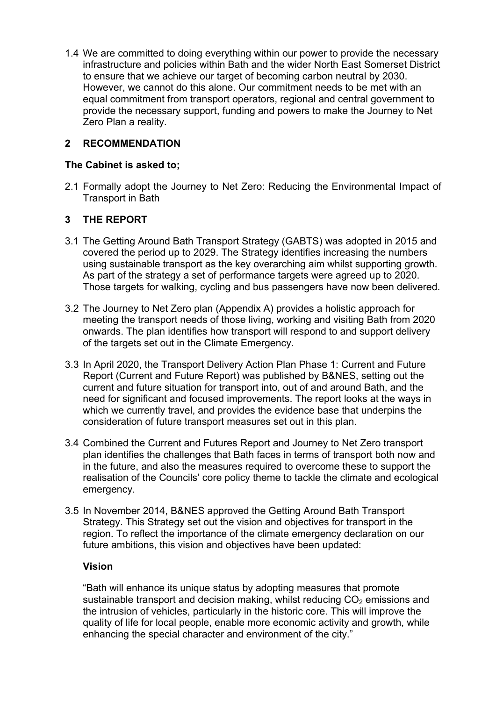1.4 We are committed to doing everything within our power to provide the necessary infrastructure and policies within Bath and the wider North East Somerset District to ensure that we achieve our target of becoming carbon neutral by 2030. However, we cannot do this alone. Our commitment needs to be met with an equal commitment from transport operators, regional and central government to provide the necessary support, funding and powers to make the Journey to Net Zero Plan a reality.

### **2 RECOMMENDATION**

### **The Cabinet is asked to;**

2.1 Formally adopt the Journey to Net Zero: Reducing the Environmental Impact of Transport in Bath

## **3 THE REPORT**

- 3.1 The Getting Around Bath Transport Strategy (GABTS) was adopted in 2015 and covered the period up to 2029. The Strategy identifies increasing the numbers using sustainable transport as the key overarching aim whilst supporting growth. As part of the strategy a set of performance targets were agreed up to 2020. Those targets for walking, cycling and bus passengers have now been delivered.
- 3.2 The Journey to Net Zero plan (Appendix A) provides a holistic approach for meeting the transport needs of those living, working and visiting Bath from 2020 onwards. The plan identifies how transport will respond to and support delivery of the targets set out in the Climate Emergency.
- 3.3 In April 2020, the Transport Delivery Action Plan Phase 1: Current and Future Report (Current and Future Report) was published by B&NES, setting out the current and future situation for transport into, out of and around Bath, and the need for significant and focused improvements. The report looks at the ways in which we currently travel, and provides the evidence base that underpins the consideration of future transport measures set out in this plan.
- 3.4 Combined the Current and Futures Report and Journey to Net Zero transport plan identifies the challenges that Bath faces in terms of transport both now and in the future, and also the measures required to overcome these to support the realisation of the Councils' core policy theme to tackle the climate and ecological emergency.
- 3.5 In November 2014, B&NES approved the Getting Around Bath Transport Strategy. This Strategy set out the vision and objectives for transport in the region. To reflect the importance of the climate emergency declaration on our future ambitions, this vision and objectives have been updated:

### **Vision**

"Bath will enhance its unique status by adopting measures that promote sustainable transport and decision making, whilst reducing  $CO<sub>2</sub>$  emissions and the intrusion of vehicles, particularly in the historic core. This will improve the quality of life for local people, enable more economic activity and growth, while enhancing the special character and environment of the city."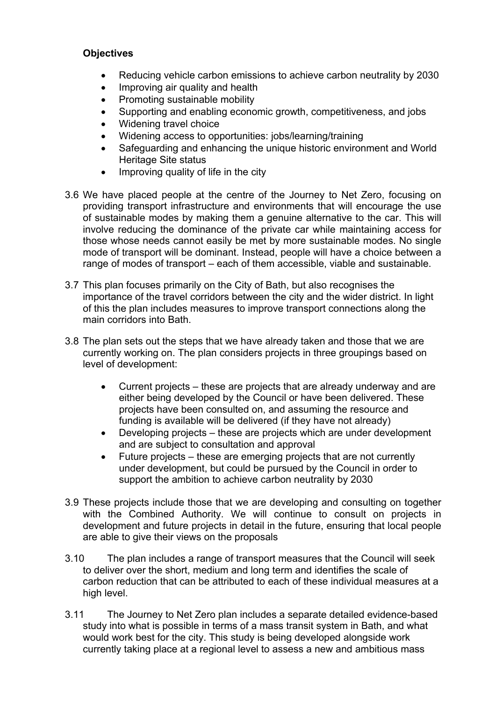#### **Objectives**

- Reducing vehicle carbon emissions to achieve carbon neutrality by 2030
- Improving air quality and health
- Promoting sustainable mobility
- Supporting and enabling economic growth, competitiveness, and jobs
- Widening travel choice
- Widening access to opportunities: jobs/learning/training
- Safeguarding and enhancing the unique historic environment and World Heritage Site status
- $\bullet$  Improving quality of life in the city
- 3.6 We have placed people at the centre of the Journey to Net Zero, focusing on providing transport infrastructure and environments that will encourage the use of sustainable modes by making them a genuine alternative to the car. This will involve reducing the dominance of the private car while maintaining access for those whose needs cannot easily be met by more sustainable modes. No single mode of transport will be dominant. Instead, people will have a choice between a range of modes of transport – each of them accessible, viable and sustainable.
- 3.7 This plan focuses primarily on the City of Bath, but also recognises the importance of the travel corridors between the city and the wider district. In light of this the plan includes measures to improve transport connections along the main corridors into Bath.
- 3.8 The plan sets out the steps that we have already taken and those that we are currently working on. The plan considers projects in three groupings based on level of development:
	- Current projects these are projects that are already underway and are either being developed by the Council or have been delivered. These projects have been consulted on, and assuming the resource and funding is available will be delivered (if they have not already)
	- Developing projects these are projects which are under development and are subject to consultation and approval
	- Future projects these are emerging projects that are not currently under development, but could be pursued by the Council in order to support the ambition to achieve carbon neutrality by 2030
- 3.9 These projects include those that we are developing and consulting on together with the Combined Authority. We will continue to consult on projects in development and future projects in detail in the future, ensuring that local people are able to give their views on the proposals
- 3.10 The plan includes a range of transport measures that the Council will seek to deliver over the short, medium and long term and identifies the scale of carbon reduction that can be attributed to each of these individual measures at a high level.
- 3.11 The Journey to Net Zero plan includes a separate detailed evidence-based study into what is possible in terms of a mass transit system in Bath, and what would work best for the city. This study is being developed alongside work currently taking place at a regional level to assess a new and ambitious mass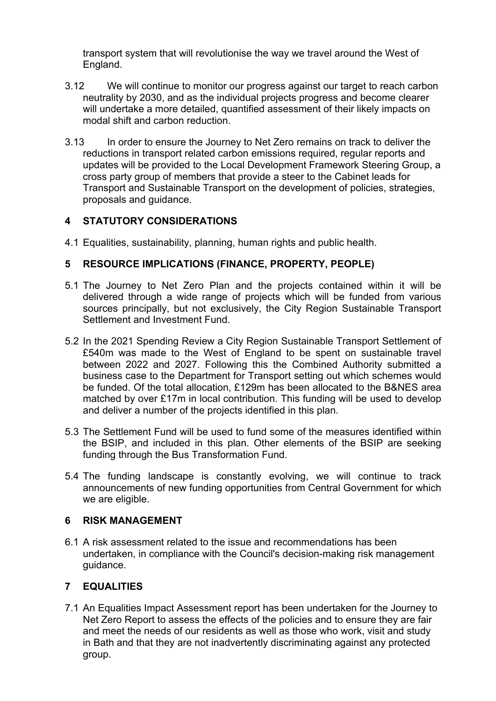transport system that will revolutionise the way we travel around the West of England.

- 3.12 We will continue to monitor our progress against our target to reach carbon neutrality by 2030, and as the individual projects progress and become clearer will undertake a more detailed, quantified assessment of their likely impacts on modal shift and carbon reduction.
- 3.13 In order to ensure the Journey to Net Zero remains on track to deliver the reductions in transport related carbon emissions required, regular reports and updates will be provided to the Local Development Framework Steering Group, a cross party group of members that provide a steer to the Cabinet leads for Transport and Sustainable Transport on the development of policies, strategies, proposals and guidance.

## **4 STATUTORY CONSIDERATIONS**

4.1 Equalities, sustainability, planning, human rights and public health.

# **5 RESOURCE IMPLICATIONS (FINANCE, PROPERTY, PEOPLE)**

- 5.1 The Journey to Net Zero Plan and the projects contained within it will be delivered through a wide range of projects which will be funded from various sources principally, but not exclusively, the City Region Sustainable Transport Settlement and Investment Fund.
- 5.2 In the 2021 Spending Review a City Region Sustainable Transport Settlement of £540m was made to the West of England to be spent on sustainable travel between 2022 and 2027. Following this the Combined Authority submitted a business case to the Department for Transport setting out which schemes would be funded. Of the total allocation, £129m has been allocated to the B&NES area matched by over £17m in local contribution. This funding will be used to develop and deliver a number of the projects identified in this plan.
- 5.3 The Settlement Fund will be used to fund some of the measures identified within the BSIP, and included in this plan. Other elements of the BSIP are seeking funding through the Bus Transformation Fund.
- 5.4 The funding landscape is constantly evolving, we will continue to track announcements of new funding opportunities from Central Government for which we are eligible.

### **6 RISK MANAGEMENT**

6.1 A risk assessment related to the issue and recommendations has been undertaken, in compliance with the Council's decision-making risk management guidance.

# **7 EQUALITIES**

7.1 An Equalities Impact Assessment report has been undertaken for the Journey to Net Zero Report to assess the effects of the policies and to ensure they are fair and meet the needs of our residents as well as those who work, visit and study in Bath and that they are not inadvertently discriminating against any protected group.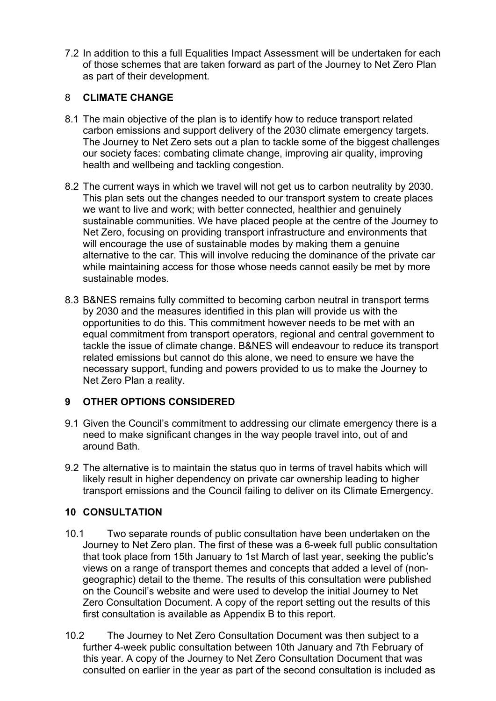7.2 In addition to this a full Equalities Impact Assessment will be undertaken for each of those schemes that are taken forward as part of the Journey to Net Zero Plan as part of their development.

### 8 **CLIMATE CHANGE**

- 8.1 The main objective of the plan is to identify how to reduce transport related carbon emissions and support delivery of the 2030 climate emergency targets. The Journey to Net Zero sets out a plan to tackle some of the biggest challenges our society faces: combating climate change, improving air quality, improving health and wellbeing and tackling congestion.
- 8.2 The current ways in which we travel will not get us to carbon neutrality by 2030. This plan sets out the changes needed to our transport system to create places we want to live and work; with better connected, healthier and genuinely sustainable communities. We have placed people at the centre of the Journey to Net Zero, focusing on providing transport infrastructure and environments that will encourage the use of sustainable modes by making them a genuine alternative to the car. This will involve reducing the dominance of the private car while maintaining access for those whose needs cannot easily be met by more sustainable modes.
- 8.3 B&NES remains fully committed to becoming carbon neutral in transport terms by 2030 and the measures identified in this plan will provide us with the opportunities to do this. This commitment however needs to be met with an equal commitment from transport operators, regional and central government to tackle the issue of climate change. B&NES will endeavour to reduce its transport related emissions but cannot do this alone, we need to ensure we have the necessary support, funding and powers provided to us to make the Journey to Net Zero Plan a reality.

# **9 OTHER OPTIONS CONSIDERED**

- 9.1 Given the Council's commitment to addressing our climate emergency there is a need to make significant changes in the way people travel into, out of and around Bath.
- 9.2 The alternative is to maintain the status quo in terms of travel habits which will likely result in higher dependency on private car ownership leading to higher transport emissions and the Council failing to deliver on its Climate Emergency.

### **10 CONSULTATION**

- 10.1 Two separate rounds of public consultation have been undertaken on the Journey to Net Zero plan. The first of these was a 6-week full public consultation that took place from 15th January to 1st March of last year, seeking the public's views on a range of transport themes and concepts that added a level of (nongeographic) detail to the theme. The results of this consultation were published on the Council's website and were used to develop the initial Journey to Net Zero Consultation Document. A copy of the report setting out the results of this first consultation is available as Appendix B to this report.
- 10.2 The Journey to Net Zero Consultation Document was then subject to a further 4-week public consultation between 10th January and 7th February of this year. A copy of the Journey to Net Zero Consultation Document that was consulted on earlier in the year as part of the second consultation is included as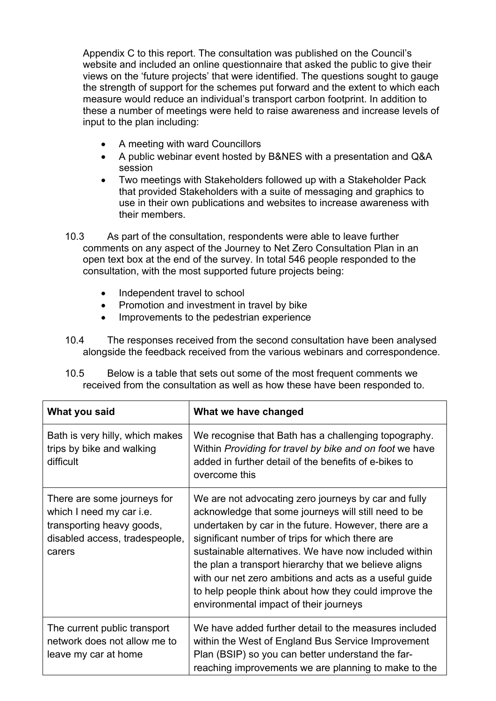Appendix C to this report. The consultation was published on the Council's website and included an online questionnaire that asked the public to give their views on the 'future projects' that were identified. The questions sought to gauge the strength of support for the schemes put forward and the extent to which each measure would reduce an individual's transport carbon footprint. In addition to these a number of meetings were held to raise awareness and increase levels of input to the plan including:

- A meeting with ward Councillors
- A public webinar event hosted by B&NES with a presentation and Q&A session
- Two meetings with Stakeholders followed up with a Stakeholder Pack that provided Stakeholders with a suite of messaging and graphics to use in their own publications and websites to increase awareness with their members.
- 10.3 As part of the consultation, respondents were able to leave further comments on any aspect of the Journey to Net Zero Consultation Plan in an open text box at the end of the survey. In total 546 people responded to the consultation, with the most supported future projects being:
	- Independent travel to school
	- Promotion and investment in travel by bike
	- Improvements to the pedestrian experience
- 10.4 The responses received from the second consultation have been analysed alongside the feedback received from the various webinars and correspondence.

| 10.5 | Below is a table that sets out some of the most frequent comments we        |
|------|-----------------------------------------------------------------------------|
|      | received from the consultation as well as how these have been responded to. |

| What you said                                                                                                                    | What we have changed                                                                                                                                                                                                                                                                                                                                                                                                                                                                                    |
|----------------------------------------------------------------------------------------------------------------------------------|---------------------------------------------------------------------------------------------------------------------------------------------------------------------------------------------------------------------------------------------------------------------------------------------------------------------------------------------------------------------------------------------------------------------------------------------------------------------------------------------------------|
| Bath is very hilly, which makes<br>trips by bike and walking<br>difficult                                                        | We recognise that Bath has a challenging topography.<br>Within Providing for travel by bike and on foot we have<br>added in further detail of the benefits of e-bikes to<br>overcome this                                                                                                                                                                                                                                                                                                               |
| There are some journeys for<br>which I need my car i.e.<br>transporting heavy goods,<br>disabled access, tradespeople,<br>carers | We are not advocating zero journeys by car and fully<br>acknowledge that some journeys will still need to be<br>undertaken by car in the future. However, there are a<br>significant number of trips for which there are<br>sustainable alternatives. We have now included within<br>the plan a transport hierarchy that we believe aligns<br>with our net zero ambitions and acts as a useful guide<br>to help people think about how they could improve the<br>environmental impact of their journeys |
| The current public transport<br>network does not allow me to<br>leave my car at home                                             | We have added further detail to the measures included<br>within the West of England Bus Service Improvement<br>Plan (BSIP) so you can better understand the far-<br>reaching improvements we are planning to make to the                                                                                                                                                                                                                                                                                |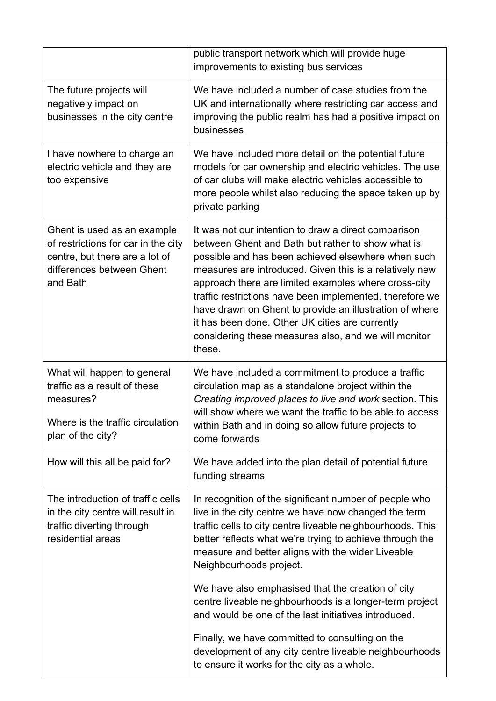|                                                                                                                                               | public transport network which will provide huge<br>improvements to existing bus services                                                                                                                                                                                                                                                                                                                                                                                                                                      |
|-----------------------------------------------------------------------------------------------------------------------------------------------|--------------------------------------------------------------------------------------------------------------------------------------------------------------------------------------------------------------------------------------------------------------------------------------------------------------------------------------------------------------------------------------------------------------------------------------------------------------------------------------------------------------------------------|
| The future projects will<br>negatively impact on<br>businesses in the city centre                                                             | We have included a number of case studies from the<br>UK and internationally where restricting car access and<br>improving the public realm has had a positive impact on<br>businesses                                                                                                                                                                                                                                                                                                                                         |
| I have nowhere to charge an<br>electric vehicle and they are<br>too expensive                                                                 | We have included more detail on the potential future<br>models for car ownership and electric vehicles. The use<br>of car clubs will make electric vehicles accessible to<br>more people whilst also reducing the space taken up by<br>private parking                                                                                                                                                                                                                                                                         |
| Ghent is used as an example<br>of restrictions for car in the city<br>centre, but there are a lot of<br>differences between Ghent<br>and Bath | It was not our intention to draw a direct comparison<br>between Ghent and Bath but rather to show what is<br>possible and has been achieved elsewhere when such<br>measures are introduced. Given this is a relatively new<br>approach there are limited examples where cross-city<br>traffic restrictions have been implemented, therefore we<br>have drawn on Ghent to provide an illustration of where<br>it has been done. Other UK cities are currently<br>considering these measures also, and we will monitor<br>these. |
| What will happen to general<br>traffic as a result of these<br>measures?<br>Where is the traffic circulation<br>plan of the city?             | We have included a commitment to produce a traffic<br>circulation map as a standalone project within the<br>Creating improved places to live and work section. This<br>will show where we want the traffic to be able to access<br>within Bath and in doing so allow future projects to<br>come forwards                                                                                                                                                                                                                       |
| How will this all be paid for?                                                                                                                | We have added into the plan detail of potential future<br>funding streams                                                                                                                                                                                                                                                                                                                                                                                                                                                      |
| The introduction of traffic cells<br>in the city centre will result in<br>traffic diverting through<br>residential areas                      | In recognition of the significant number of people who<br>live in the city centre we have now changed the term<br>traffic cells to city centre liveable neighbourhoods. This<br>better reflects what we're trying to achieve through the<br>measure and better aligns with the wider Liveable<br>Neighbourhoods project.                                                                                                                                                                                                       |
|                                                                                                                                               | We have also emphasised that the creation of city<br>centre liveable neighbourhoods is a longer-term project<br>and would be one of the last initiatives introduced.                                                                                                                                                                                                                                                                                                                                                           |
|                                                                                                                                               | Finally, we have committed to consulting on the<br>development of any city centre liveable neighbourhoods<br>to ensure it works for the city as a whole.                                                                                                                                                                                                                                                                                                                                                                       |